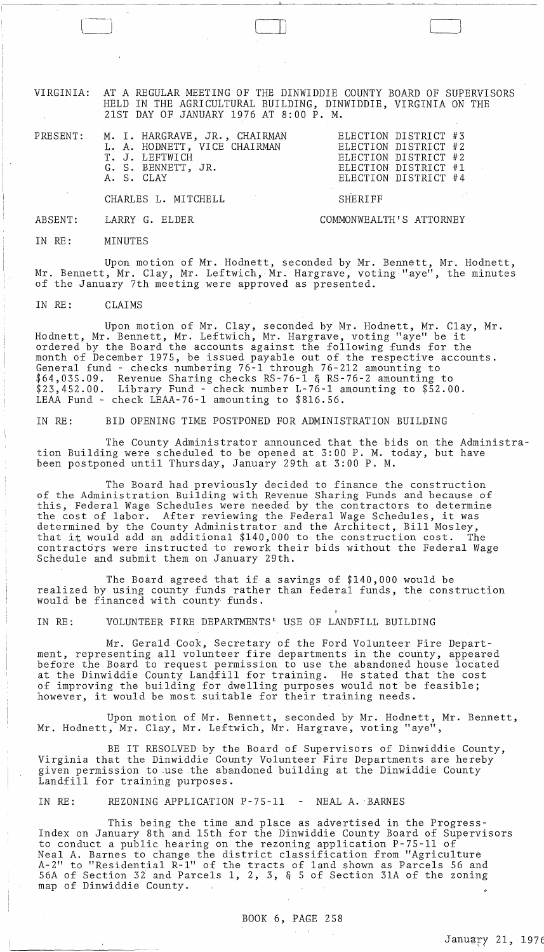VIRGINIA: AT A REGULAR MEETING OF THE DINWIDDIE COUNTY BOARD OF SUPERVISORS HELD IN THE AGRICULTURAL BUILDING, DINWIDDIE, VIRGINIA ON THE 21ST DAY OF JANUARY 1976 AT 8:00 P. M.

 $\Box$ 

CHARLES L. MITCHELL

LARRY G. ELDER

COMMONWEALTH'S ATTORNEY

SHERIFF

IN RE: MINUTES

ABSENT:

Upon motion of Mr. Hodnett, seconded by Mr. Bennett, Mr. Hodnett, Mr. Bennett, Mr. Clay, Mr. Leftwich, Mr. Hargrave, voting "aye", the minutes of the January 7th meeting were approved as presented.

IN RE: CLAIMS

Upon motion of Mr. Clay, seconded by Mr. Hodnett, Mr. Clay, Mr. Hodnett, Mr. Bennett, Mr. Leftwich, Mr. Hargrave, voting "aye" be it ordered by the Board the accounts against the following funds for the month of December 1975, be issued payable out of the respective accounts. General fund - checks numbering 76-1 through 76-212 amounting to \$64,035.09. Revenue Sharing checks RS-76-l & RS-76-2 amounting to \$23,452.00. Library Fund - check number L-76-l amounting to \$52.00. LEAA Fund - check LEAA-76-l amounting to \$816.56.

IN RE: BID OPENING TIME POSTPONED FOR ADMINISTRATION BUILDING

The County Administrator announced that the bids on the Administration Building were scheduled to be opened at 3:00 P. M. today, but have been postponed until Thursday, January 29th at 3:00 P. M.

The Board had previously decided to finance the construction of the Administration Building with Revenue Sharing Funds and because of this, Federal Wage Schedules were needed by the contractors to determine the cost of labor. After reviewing the Federal Wage Schedules, it was determined by the County Administrator and the Architect, Bill Mosley, that it would add an additional \$140,000 to the construction cost. The contractors were instructed to rework their bids without the Federal Wage Schedule and submit them on January 29th.

The Board agreed that if a savings of \$140,000 would be realized by using county funds rather than federal funds, the construction would be financed with county funds.

IN RE: VOLUNTEER FIRE DEPARTMENTS<sup>\*</sup> USE OF LANDFILL BUILDING

Mr. Gerald Cook, Secretary of the Ford Volunteer Fire Department, representing all volunteer fire departments in the county, appeared before the Board to request permission to use the abandoned house located at the Dinwiddie County Lanqfill for training. He stated that the cost of improving the building for dwelling purposes would not be feasible; however, it would be most suitable for their training needs.

Upon motion of Mr. Bennett, seconded by Mr. Hodnett, Mr. Bennett, Mr. Hodnett, Mr. Clay, Mr. Leftwich, Mr. Hargrave, voting "aye",

BE IT RESOLVED by the Board of Supervisors of Dinwiddie County, Virginia that the Dinwiddie County Volunteer Fire Departments are hereby given permission to use the abandoned building at the Dinwiddie County Landfill for training purposes.

IN RE: REZONING APPLICATION P-75-11 - NEAL A. BARNES

This being the time and place as advertised in the Progress-Index on January 8th and 15th for the Dinwiddie County Board of Supervisors to conduct a public hearing on the rezoning application P-75-ll of Neal A. Barnes to change the district classification from "Agriculture A-2" to "Residential R-l" of the tracts of land shown as Parcels 56 and 56A of Section *3i* and Parcels 1, 2, 3, & 5 of Section 3lA of the zoning map of Dinwiddie County.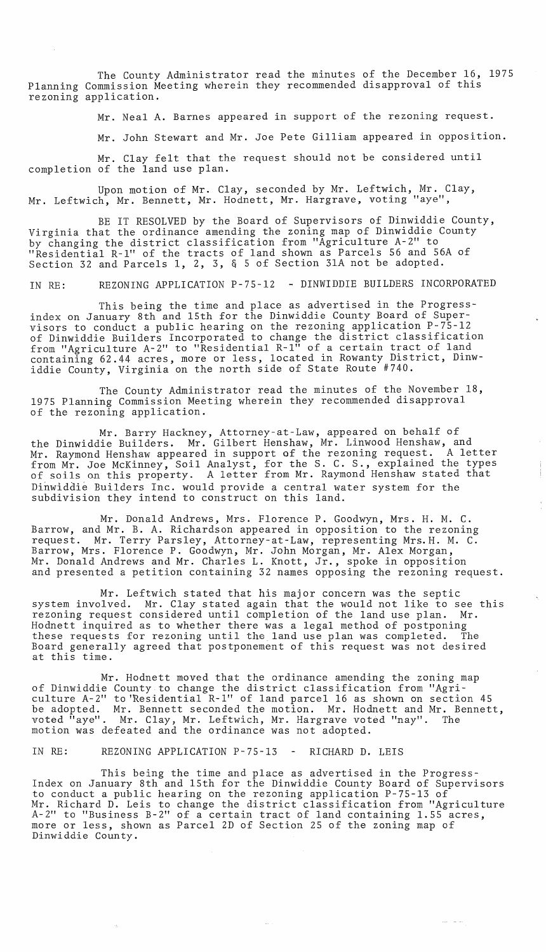The County Administrator read the minutes of the December 16, 1975 Planning Commission Meeting wherein they recommended disapproval of this rezoning application.

Mr. Neal A. Barnes appeared in support of the rezoning request.

Mr. John Stewart and Mr. Joe Pete Gilliam appeared in opposition.

Mr. Clay felt that the request should not be considered until completion of the land use plan.

Upon motion of Mr. Clay, seconded by Mr. Leftwich, Mr. Clay, Mr. Leftwich, Mr. Bennett, Mr. Hodnett, Mr. Hargrave, voting "aye",

BE IT RESOLVED by the Board of Supervisors of Dinwiddie County, Virginia that the ordinance amending the zoning map of Dinwiddie County by changing the district classification from "Agriculture A-2" to "Residential R-l" of the tracts of land shown as Parcels 56 and 56A of Section 32 and Parcels 1, 2, 3, & 5 of Section 3lA not be adopted.

IN RE: REZONING APPLICATION P-75-l2 - DINWIDDIE BUILDERS INCORPORATED

This being the time and place as advertised in the Progressindex on January 8th and 15th for the Dinwiddie County Board of Supervisors to conduct a public hearing on the rezoning application P-75-l2 of Dinwiddie Builders Incorporated to change the district classification from "Agriculture A-2" to "Residential R-l" of a certain tract of land containing 62.44 acres, more or less, located in Rowanty District, Dinwiddie County, Virginia on the north side of State Route #740.

The County Administrator read the minutes of the November 18, 1975 Planning Commission Meeting wherein they recommended disapproval of the rezoning application.

Mr. Barry Hackney, Attorney-at-Law, appeared on behalf of the Dinwiddie Builders. Mr. Gilbert Henshaw, Mr. Linwood Henshaw, and Mr. Raymond Henshaw appeared in support of the rezoning request. A letter from Mr. Joe McKinney, Soil Analyst, for the S. C. S., explained the types abom Mr. Soe Mckinney, Soil Analyse, for the S. S. S., Skplained the syper Dinwiddie Builders Inc. would provide a central water system for the subdivision they intend to construct on this land.

Mr. Donald Andrews, Mrs. Florence P. Goodwyn, Mrs. H. M. C. Barrow, and Mr. B. A. Richardson appeared in opposition to the rezoning request. Mr. Terry Parsley, Attorney-at-Law, representing Mrs.H. M. C. Barrow, Mrs. Florence P. Goodwyn, Mr. John Morgan, Mr. Alex Morgan, Mr. Donald Andrews and Mr. Charles L. Knott, Jr., spoke in opposition and presented a petition containing 32 names opposing the rezoning request.

Mr. Leftwich stated that his major concern was the septic system involved. Mr. Clay stated again that the would not like to see this rezoning request considered until completion of the land use plan. Mr. Hodnett inquired as to whether there was a legal method of postponing these requests for rezoning until the land use plan was completed. The Board generally agreed that postponement of this request was not desired at this time.

Mr. Hodnett moved that the ordinance amending the zoning map of Dinwiddie County to change the district classification from "Agriculture A-2" to 'Residential R-l" of land parcel 16 as shown on section 45 be adopted. Mr. Bennett seconded the motion. Mr. Hodnett and Mr. Bennett, voted "aye". Mr. Clay, Mr. Leftwich, Mr. Hargrave voted "nay". The motion was defeated and the ordinance was not adopted.

IN RE: REZONING APPLICATION P-75-13 - RICHARD D. LEIS

This being the time and place as advertised in the Progress-Index on January 8th and 15th for the Dinwiddie County Board of Supervisors to conduct a public hearing on the rezoning application P-75-l3 of Mr. Richard D. Leis to change the district classification from "Agriculture A-2" to "Business B-2" of a certain tract of land containing 1.55 acres, more or less, shown as Parcel 2D of Section 25 of the zoning map of Dinwiddie County.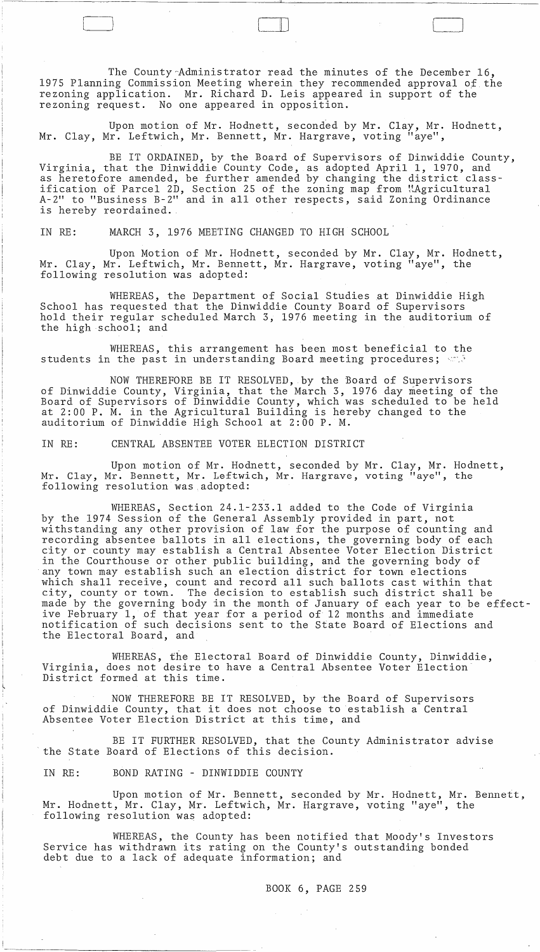The County Administrator read the minutes of the December 16, 1975 Planning Commission Meeting wherein they recommended approval of the rezoning application. Mr. Richard D. Leis appeared in support of the rezoning request. No one appeared in opposition.

 $\Box$ 

Upon motion of Mr. Hodnett, seconded by Mr. Clay, Mr. Hodnett, Mr. Clay, Mr. Leftwich, Mr. Bennett, Mr. Hargrave, voting "aye",

BE IT ORDAINED, by the Board of Supervisors of Dinwiddie County, Virginia, that the Dinwiddie County Code, as adopted April 1, 1970, and as heretofore amended, be further amended by changing the district classification of Parcel 2D, Section 25 of the zoning map from "Agricultural" A-2" to "Business B-2" and in all other respects, said Zoning Ordinance is hereby reordained.

IN RE: MARCH 3, 1976 MEETING CHANGED TO HIGH SCHOOL

Upon Motion of Mr. Hodnett, seconded by Mr. Clay, Mr. Hodnett, Mr. Clay, Mr. Leftwich, Mr. Bennett, Mr. Hargrave, voting "aye", the following resolution was adopted:

WHEREAS, the Department of Social Studies at Dinwiddie High School has requested that the Dinwiddie County Board of Supervisors hold their regular scheduled March 3, 1976 meeting in the auditorium of the high school; and

WHEREAS, this arrangement has been most beneficial to the students in the past in understanding Board meeting procedures;  $\leq 1$ 

NOW THEREFORE BE IT RESOLVED, by the Board of Supervisors of Dinwiddie County, Virginia, that the March 3, 1976 day meeting of the Board of Supervisors of Dinwiddie County, which was scheduled to be held at 2:00 P. M. in the Agricultural Building is hereby changed to the auditorium of Dinwiddie High School at 2:00 P. M.

IN RE: CENTRAL ABSENTEE VOTER ELECTION DISTRICT

Upon motion of Mr. Hodnett, seconded by Mr. Clay, Mr. Hodnett, Mr. Clay, Mr. Bennett, Mr. Leftwich, Mr. Hargrave, voting "aye", the following resolution was adopted:

WHEREAS, Section 24.1-233.1 added to the Code of Virginia by the 1974 Session of the General Assembly provided in part, not withstanding any other provision of law for the purpose of counting and recording absentee ballots in all elections, the governing body of each city or county may establish a Central Absentee Voter Election District in the Courthouse or other public building, and the governing body of any town may establish such an election district for town elections which shall receive, count and record all such ballots cast within that city, county or town. The decision to establish such district shall be made by the governing body in the month of January of each year to be effective February 1, of that year for a period of 12 months and immediate notification of such decisions sent to the State Board of Elections and the Electoral Board, and

WHEREAS, the Electoral Board of Dinwiddie County, Dinwiddie, Virginia, does not desire to have a Central Absentee Voter Election District formed at this time.

NOW THEREFORE BE IT RESOLVED, by the Board of Supervisors of Dinwiddie County, that it does not choose to establish a Central Absentee Voter Election District at this time, and

BE IT FURTHER RESOLVED, that the County Administrator advise the State Board of Elections of this decision.

IN RE: BOND RATING - DINWIDDIE COUNTY

Upon motion of Mr. Bennett, seconded by Mr. Hodnett, Mr. Bennett, Mr. Hodnett, Mr. Clay, Mr. Leftwich, Mr. Hargrave, voting "aye", the following resolution was adopted:

WHEREAS, the County has been notified that Moody's Investors Service has withdrawn its rating on the County's outstanding bonded debt due to a lack of adequate information; and

 $\sim 12$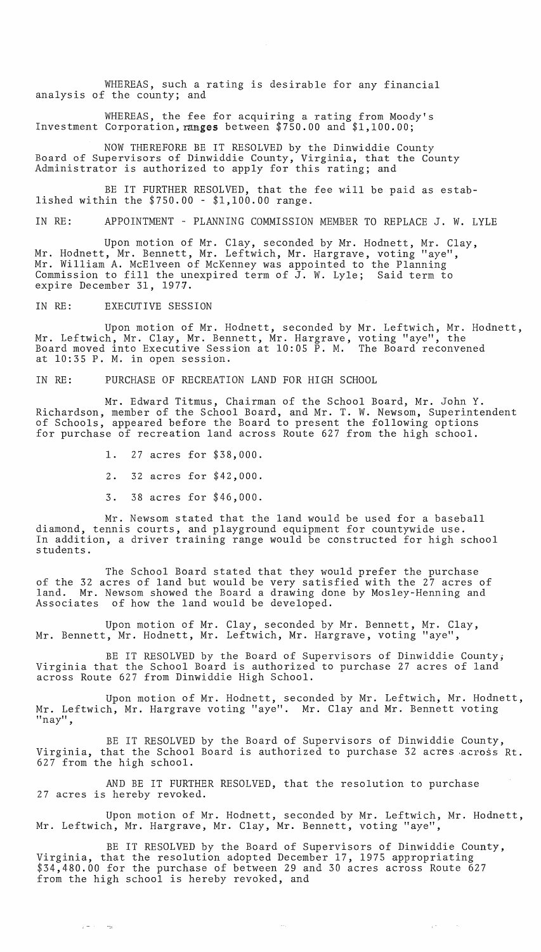WHEREAS, such a rating is desirable for any financial analysis of the county; and

WHEREAS, the fee for acquiring a rating from Moody's Investment Corporation,ranges between \$750.00 and \$1,100.00;

NOW THEREFORE BE IT RESOLVED by the Dinwiddie County Board of Supervisors of Dinwiddie County, Virginia, that the County Administrator is authorized to apply for this rating; and

BE IT FURTHER RESOLVED, that the fee will be paid as established within the \$750.00 - \$1,100.00 range.

IN RE: APPOINTMENT - PLANNING COMMISSION MEMBER TO REPLACE J. W. LYLE

Upon motion of Mr. Clay, seconded by Mr. Hodnett, Mr. Clay, Mr. Hodnett, Mr. Bennett, Mr. Leftwich, Mr. Hargrave, voting "aye", Mr. William A. McElveen of McKenney was appointed to the Planning Commission to fill the unexpired term of J. W. Lyle; Said term to expire December 31, 1977.

IN RE: EXECUTIVE SESSION

 $\tau = 1000$   $\tau_{\rm B}$ 

Upon motion of Mr. Hodnett, seconded by Mr. Leftwich, Mr. Hodnett, Mr. Leftwich, Mr. Clay, Mr. Bennett, Mr. Hargrave, Board moved into Executive Session at 10:05 P. M. at 10:35 P. M. in open session. voting "aye", the The Board reconvened

IN RE: PURCHASE OF RECREATION LAND FOR HIGH SCHOOL

Mr. Edward Titmus, Chairman of the School Board, Mr. John Y. Richardson, member of the School Board, and Mr. T. W. Newsom, Superintendent of Schools, appeared before the Board to present the following options for purchase of recreation land across Route 627 from the high school.

1. 27 acres for \$38,000.

2. 32 acres for \$42,000.

3. 38 acres for \$46,000.

Mr. Newsom stated that the land would be used for a baseball diamond, tennis courts, and playground equipment for countywide use. In addition, a driver training range would be constructed for high school students.

The School Board stated that they would prefer the purchase of the 32 acres of land but would be very satisfied with the 27 acres of land. Mr. Newsom showed the Board a drawing done by Mosley-Henning and Associates of how the land would be developed.

Upon motion of Mr. Clay, seconded by Mr. Bennett, Mr. Clay, Mr. Bennett, Mr. Hodnett, Mr. Leftwich, Mr. Hargrave, voting "aye",

BE IT RESOLVED by the Board of Supervisors of Dinwiddie County, Virginia that the School Board is authorized to purchase 27 acres of land across Route 627 from Dinwiddie High School.

Upon motion of Mr. Hodnett, seconded by Mr. Leftwich, Mr. Hodnett, Mr. Leftwich, Mr. Hargrave voting "aye". Mr. Clay and Mr. Bennett voting "nay",

BE IT RESOLVED by the Board of Supervisors of Dinwiddie County, Virginia, that the School Board is authorized to purchase 32 acres across  $Rt$ . 627 from the high school.

AND BE IT FURTHER RESOLVED, that the resolution to purchase 27 acres is hereby revoked.

Upon motion of Mr. Hodnett, seconded by Mr. Leftwich, Mr. Hodnett, Mr. Leftwich, Mr. Hargrave, Mr. Clay, Mr. Bennett, voting "aye",

 $\tau_{\rm eff} = 1$ 

 $\sim$   $\sim$ 

BE IT RESOLVED by the Board of Supervisors of Dinwiddie County, Virginia, that the resolution adopted December 17, 1975 appropriating \$34,480.00 for the purchase of between 29 and 30 acres across Route 627 from the high school is hereby revoked, and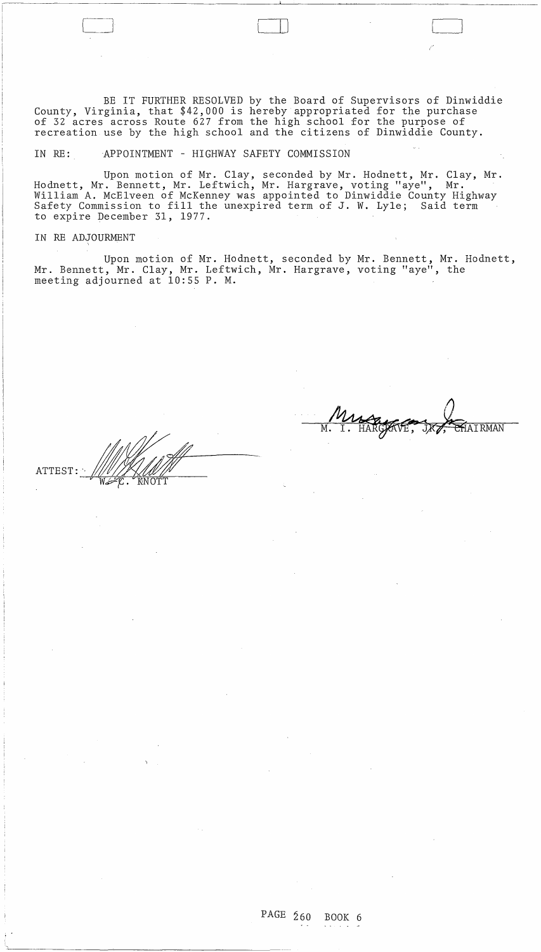BE IT FURTHER RESOLVED by the Board of Supervisors of Dinwiddie County, Virginia, that \$42,000 is hereby appropriated for the purchase of 32 acres across Route 627 from the high school for the purpose of recreation use by the high school and the citizens of Dinwiddie County.

IN RE: APPOINTMENT - HIGHWAY SAFETY COMMISSION

C~ III

Upon motion of Mr. Clay, seconded by Mr. Hodnett, Mr. Clay, Mr. Hodnett, Mr. Bennett, Mr. Leftwich, Mr. Hargrave, voting "aye", Mr. William A. McElveen of McKenney was appointed to Dinwiddie County Highway Safety Commission to fill the unexpired term of J. W. Lyle; Said term to expire December 31, 1977.

IN RE ADJOURMENT

Upon motion of Mr. Hodnett, seconded by Mr. Bennett, Mr. Hodnett, Mr. Bennett, Mr. Clay, Mr. Leftwich, Mr. Hargrave, voting "aye", the meeting adjourned at 10:55 P. M.

M. I. HARGGAVE, JR. GHAIRMAN

 $\sim$   $\sim$